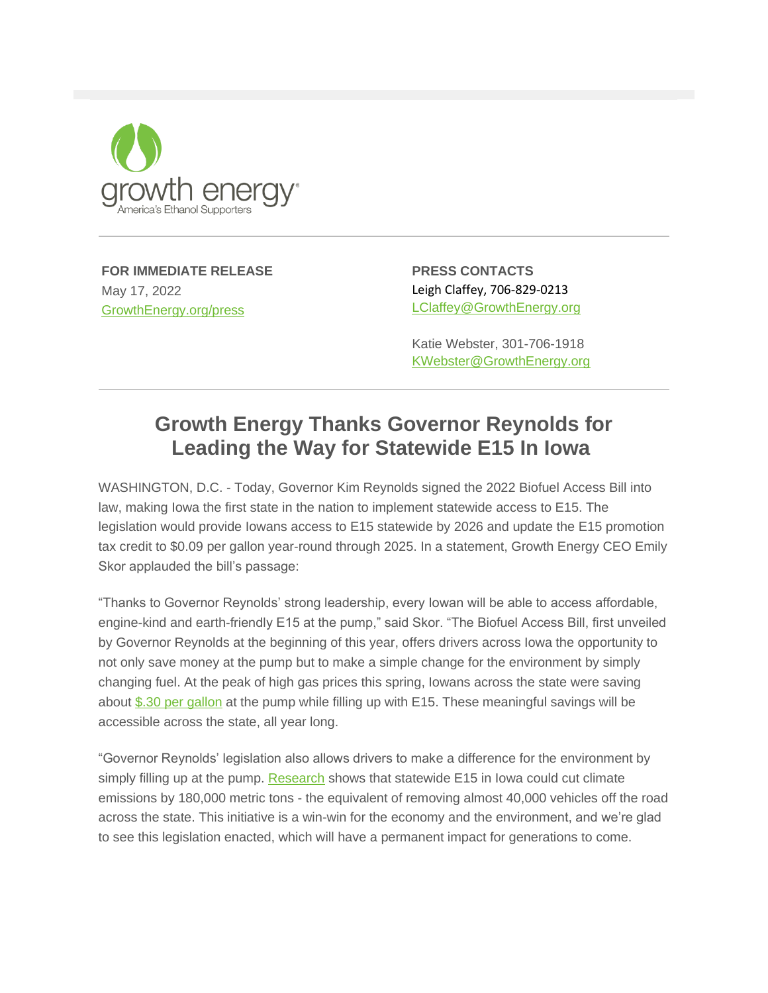

**FOR IMMEDIATE RELEASE** May 17, 2022 [GrowthEnergy.org/press](http://links.growthenergy.org/u/click?_t=fb583857d0d94a91b0dc43212296c392&_m=95ef564df32d4de8949d026f2ab8aa80&_e=sX5-pfSgpyWOjDIs4M5NPpwRtCXdX7rjeJJ16LRkMRU8X8cQlp3uWxulpAM8jBdqIfBFzsuZkmDa_eZTr2gnP3v8PYxocCQQbT9YfXQADmu9Jo37fXUPLUyx5eQEuoBXFP105Fi8KiMu0er9ZKBB9Fn_UeV8tBSmV7G0ZDlHAyaGC9EoLUa3AOyjgnGtFD3FfFzGpxONTSKyZvZinOUIomzg8YsO9W4osRuciPP6bVT2jT7uzGTZv7UbEZ_qYdWWxfnt8yw7AS7vbP0wp1jFuDFcUMXANeS_dhFW-P2wJ5w%3D)

**PRESS CONTACTS** Leigh Claffey, 706-829-0213 [LClaffey@GrowthEnergy.org](mailto:lclaffey@growthenergy.org)

Katie Webster, 301-706-1918 [KWebster@GrowthEnergy.org](mailto:kwebster@growthenergy.org)

## **Growth Energy Thanks Governor Reynolds for Leading the Way for Statewide E15 In Iowa**

WASHINGTON, D.C. - Today, Governor Kim Reynolds signed the 2022 Biofuel Access Bill into law, making Iowa the first state in the nation to implement statewide access to E15. The legislation would provide Iowans access to E15 statewide by 2026 and update the E15 promotion tax credit to \$0.09 per gallon year-round through 2025. In a statement, Growth Energy CEO Emily Skor applauded the bill's passage:

"Thanks to Governor Reynolds' strong leadership, every Iowan will be able to access affordable, engine-kind and earth-friendly E15 at the pump," said Skor. "The Biofuel Access Bill, first unveiled by Governor Reynolds at the beginning of this year, offers drivers across Iowa the opportunity to not only save money at the pump but to make a simple change for the environment by simply changing fuel. At the peak of high gas prices this spring, Iowans across the state were saving about [\\$.30 per gallon](http://links.growthenergy.org/u/click?_t=fb583857d0d94a91b0dc43212296c392&_m=95ef564df32d4de8949d026f2ab8aa80&_e=sX5-pfSgpyWOjDIs4M5NPldLBPWluPldTiwKVNhlaHgAYl-0EsMwwes8ZcME_DOBKjxAQT-Zdoc4TS9ZYONfm576ADsYiGk6JkInUXs1AXpleZCPa_-r7mtGkQPOBKDPw0ABxfZItziu3wRXkgq44zgtYL7lE0UB-VDD9yjlK795tOhAblF1gxaeiVkvEarw5uzSt9oHSrq_wRyVLvHcnNb1MX3_UuumdjNQH_2GibVcGIZSkr8B25Zo7n3MMsx-zb00UVil9ZQExMgUYCTcufGvBE-VecnhtOrQuTnojNNAwdYOrzyHwlqjAc5yG5xC) at the pump while filling up with E15. These meaningful savings will be accessible across the state, all year long.

"Governor Reynolds' legislation also allows drivers to make a difference for the environment by simply filling up at the pump. [Research](http://links.growthenergy.org/u/click?_t=fb583857d0d94a91b0dc43212296c392&_m=95ef564df32d4de8949d026f2ab8aa80&_e=TylwVRF1h5UKz23ygkCA68prLL8kWHqyX7PW74Tar7IyYP53KdsqqoVMy6yFXMIPhlHJDYsFGj8VId154Wt-RZDfiXmEvxmktcW_zqWX5PUr8J1bo4fzs0Se4IcW6HVA3BBAL6ArLt5LSf5tkTB75zR3hp76Xhd-zEDKKM0FesxrDo8tAGJpGV-_puunZRC1CEW1RaIZkMLVdld1_AleyaiBfivC4TZGeYUC785JUyBL56c5-KTbAK3FdGhQcE0nkkN0vVmK6CpXLgXVQYQqrjzi8r5jB3yVTdCn5Xq_PHh_XWXd_8gV5LfZApZALwzm) shows that statewide E15 in Iowa could cut climate emissions by 180,000 metric tons - the equivalent of removing almost 40,000 vehicles off the road across the state. This initiative is a win-win for the economy and the environment, and we're glad to see this legislation enacted, which will have a permanent impact for generations to come.